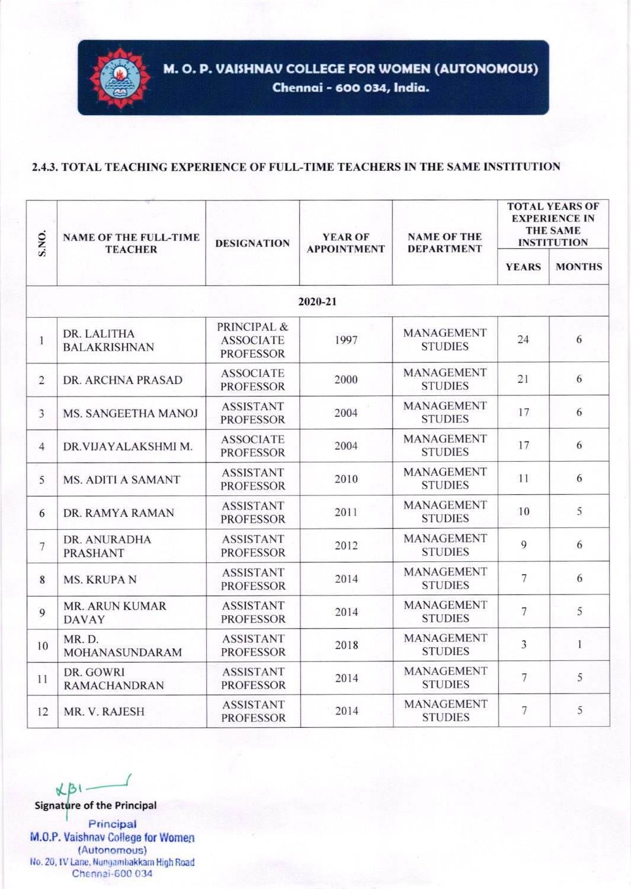

## 2.4.3. TOTAL TEACHING EXPERIENCE OF FULL-TIME TEACHERS IN THE SAME INSTITUTION

| S.NO.          | <b>NAME OF THE FULL-TIME</b><br><b>TEACHER</b> | <b>DESIGNATION</b>                                  | <b>YEAR OF</b><br><b>APPOINTMENT</b> | <b>NAME OF THE</b><br><b>DEPARTMENT</b> | <b>TOTAL YEARS OF</b><br><b>EXPERIENCE IN</b><br><b>THE SAME</b><br><b>INSTITUTION</b> |               |  |  |  |  |
|----------------|------------------------------------------------|-----------------------------------------------------|--------------------------------------|-----------------------------------------|----------------------------------------------------------------------------------------|---------------|--|--|--|--|
|                |                                                |                                                     |                                      |                                         | <b>YEARS</b>                                                                           | <b>MONTHS</b> |  |  |  |  |
| 2020-21        |                                                |                                                     |                                      |                                         |                                                                                        |               |  |  |  |  |
| $\mathbf{1}$   | DR. LALITHA<br><b>BALAKRISHNAN</b>             | PRINCIPAL &<br><b>ASSOCIATE</b><br><b>PROFESSOR</b> | 1997                                 | <b>MANAGEMENT</b><br><b>STUDIES</b>     | 24                                                                                     | 6             |  |  |  |  |
| $\sqrt{2}$     | DR. ARCHNA PRASAD                              | <b>ASSOCIATE</b><br><b>PROFESSOR</b>                | 2000                                 | <b>MANAGEMENT</b><br><b>STUDIES</b>     | 21                                                                                     | 6             |  |  |  |  |
| $\overline{3}$ | MS. SANGEETHA MANOJ                            | <b>ASSISTANT</b><br><b>PROFESSOR</b>                | 2004                                 | MANAGEMENT<br><b>STUDIES</b>            | 17                                                                                     | 6             |  |  |  |  |
| $\overline{4}$ | DR.VIJAYALAKSHMI M.                            | <b>ASSOCIATE</b><br><b>PROFESSOR</b>                | 2004                                 | <b>MANAGEMENT</b><br><b>STUDIES</b>     | 17                                                                                     | 6             |  |  |  |  |
| 5              | MS. ADITI A SAMANT                             | <b>ASSISTANT</b><br><b>PROFESSOR</b>                | 2010                                 | <b>MANAGEMENT</b><br><b>STUDIES</b>     | 11                                                                                     | 6             |  |  |  |  |
| 6              | DR. RAMYA RAMAN                                | <b>ASSISTANT</b><br><b>PROFESSOR</b>                | 2011                                 | <b>MANAGEMENT</b><br><b>STUDIES</b>     | 10                                                                                     | 5             |  |  |  |  |
| $\overline{7}$ | DR. ANURADHA<br><b>PRASHANT</b>                | <b>ASSISTANT</b><br><b>PROFESSOR</b>                | 2012                                 | <b>MANAGEMENT</b><br><b>STUDIES</b>     | $\mathbf{Q}$                                                                           | 6             |  |  |  |  |
| 8              | <b>MS. KRUPA N</b>                             | <b>ASSISTANT</b><br><b>PROFESSOR</b>                | 2014                                 | MANAGEMENT<br><b>STUDIES</b>            | $7\phantom{.0}$                                                                        | 6             |  |  |  |  |
| 9              | <b>MR. ARUN KUMAR</b><br><b>DAVAY</b>          | <b>ASSISTANT</b><br><b>PROFESSOR</b>                | 2014                                 | <b>MANAGEMENT</b><br><b>STUDIES</b>     | $\overline{7}$                                                                         | 5             |  |  |  |  |
| 10             | MR. D.<br>MOHANASUNDARAM                       | <b>ASSISTANT</b><br><b>PROFESSOR</b>                | 2018                                 | <b>MANAGEMENT</b><br><b>STUDIES</b>     | $\overline{3}$                                                                         | $\mathbf{1}$  |  |  |  |  |
| 11             | DR. GOWRI<br><b>RAMACHANDRAN</b>               | <b>ASSISTANT</b><br><b>PROFESSOR</b>                | 2014                                 | <b>MANAGEMENT</b><br><b>STUDIES</b>     | $7\phantom{.0}$                                                                        | 5             |  |  |  |  |
| 12             | MR. V. RAJESH                                  | <b>ASSISTANT</b><br><b>PROFESSOR</b>                | 2014                                 | MANAGEMENT<br><b>STUDIES</b>            | $\overline{7}$                                                                         | 5             |  |  |  |  |

 $K\beta$ Signature of the Principal Principal M.0.P. Vaishnav College for Women (Autonomous) No. 20, IV Lane, Nungambakkam High Road Chennai-600 034